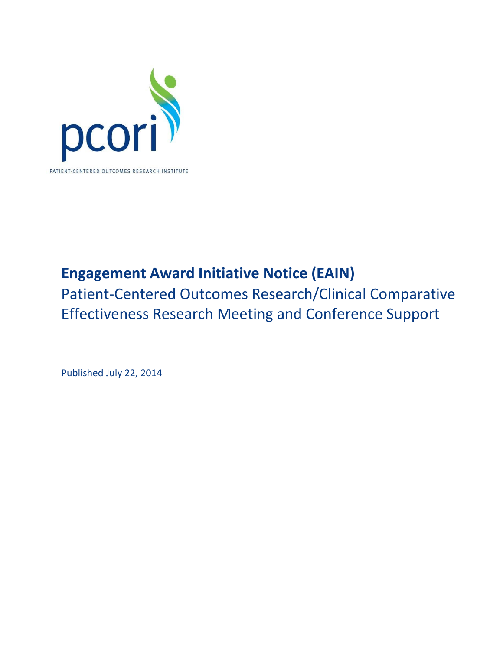

# **Engagement Award Initiative Notice (EAIN)**

Patient-Centered Outcomes Research/Clinical Comparative Effectiveness Research Meeting and Conference Support

Published July 22, 2014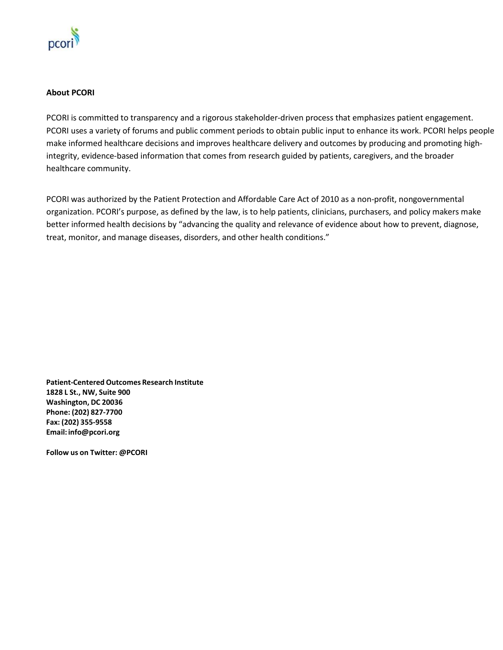

#### **About PCORI**

PCORI is committed to transparency and a rigorous stakeholder-driven process that emphasizes patient engagement. PCORI uses a variety of forums and public comment periods to obtain public input to enhance its work. PCORI helps people make informed healthcare decisions and improves healthcare delivery and outcomes by producing and promoting highintegrity, evidence-based information that comes from research guided by patients, caregivers, and the broader healthcare community.

PCORI was authorized by the Patient Protection and Affordable Care Act of 2010 as a non-profit, nongovernmental organization. PCORI's purpose, as defined by the law, is to help patients, clinicians, purchasers, and policy makers make better informed health decisions by "advancing the quality and relevance of evidence about how to prevent, diagnose, treat, monitor, and manage diseases, disorders, and other health conditions."

**Patient-Centered Outcomes Research Institute 1828 L St., NW, Suite 900 Washington, DC 20036 Phone: (202) 827-7700 Fax: (202) 355-9558 Email[:info@pcori.org](mailto:info@pcori.org)**

**Follow us on Twitter: @PCORI**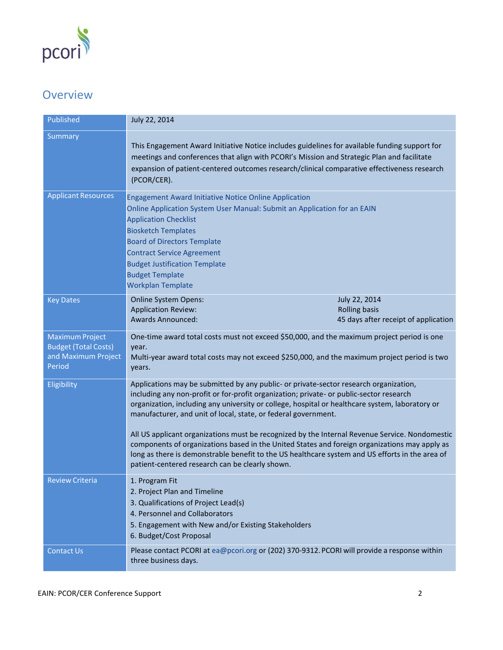

### **Overview**

| Published                                                                              | July 22, 2014                                                                                                                                                                                                                                                                                                                                                                                                                                                                                                                                                                                                                                                                                                  |                                                                               |
|----------------------------------------------------------------------------------------|----------------------------------------------------------------------------------------------------------------------------------------------------------------------------------------------------------------------------------------------------------------------------------------------------------------------------------------------------------------------------------------------------------------------------------------------------------------------------------------------------------------------------------------------------------------------------------------------------------------------------------------------------------------------------------------------------------------|-------------------------------------------------------------------------------|
| Summary                                                                                | This Engagement Award Initiative Notice includes guidelines for available funding support for<br>meetings and conferences that align with PCORI's Mission and Strategic Plan and facilitate<br>expansion of patient-centered outcomes research/clinical comparative effectiveness research<br>(PCOR/CER).                                                                                                                                                                                                                                                                                                                                                                                                      |                                                                               |
| <b>Applicant Resources</b>                                                             | <b>Engagement Award Initiative Notice Online Application</b><br>Online Application System User Manual: Submit an Application for an EAIN<br><b>Application Checklist</b><br><b>Biosketch Templates</b><br><b>Board of Directors Template</b><br><b>Contract Service Agreement</b><br><b>Budget Justification Template</b><br><b>Budget Template</b><br><b>Workplan Template</b>                                                                                                                                                                                                                                                                                                                                |                                                                               |
| <b>Key Dates</b>                                                                       | <b>Online System Opens:</b><br><b>Application Review:</b><br><b>Awards Announced:</b>                                                                                                                                                                                                                                                                                                                                                                                                                                                                                                                                                                                                                          | July 22, 2014<br><b>Rolling basis</b><br>45 days after receipt of application |
| <b>Maximum Project</b><br><b>Budget (Total Costs)</b><br>and Maximum Project<br>Period | One-time award total costs must not exceed \$50,000, and the maximum project period is one<br>year.<br>Multi-year award total costs may not exceed \$250,000, and the maximum project period is two<br>years.                                                                                                                                                                                                                                                                                                                                                                                                                                                                                                  |                                                                               |
| Eligibility                                                                            | Applications may be submitted by any public- or private-sector research organization,<br>including any non-profit or for-profit organization; private- or public-sector research<br>organization, including any university or college, hospital or healthcare system, laboratory or<br>manufacturer, and unit of local, state, or federal government.<br>All US applicant organizations must be recognized by the Internal Revenue Service. Nondomestic<br>components of organizations based in the United States and foreign organizations may apply as<br>long as there is demonstrable benefit to the US healthcare system and US efforts in the area of<br>patient-centered research can be clearly shown. |                                                                               |
| <b>Review Criteria</b>                                                                 | 1. Program Fit<br>2. Project Plan and Timeline<br>3. Qualifications of Project Lead(s)<br>4. Personnel and Collaborators<br>5. Engagement with New and/or Existing Stakeholders<br>6. Budget/Cost Proposal                                                                                                                                                                                                                                                                                                                                                                                                                                                                                                     |                                                                               |
| <b>Contact Us</b>                                                                      | Please contact PCORI at ea@pcori.org or (202) 370-9312. PCORI will provide a response within<br>three business days.                                                                                                                                                                                                                                                                                                                                                                                                                                                                                                                                                                                           |                                                                               |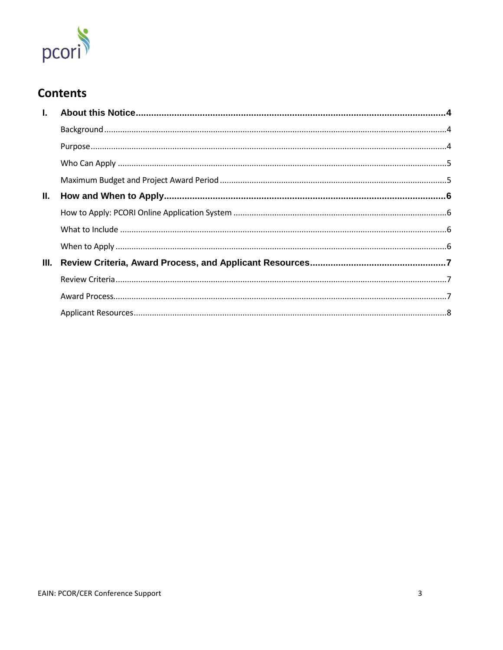

## **Contents**

| $\mathbf{L}$ |  |
|--------------|--|
|              |  |
|              |  |
|              |  |
|              |  |
| Ш.           |  |
|              |  |
|              |  |
|              |  |
| Ш.           |  |
|              |  |
|              |  |
|              |  |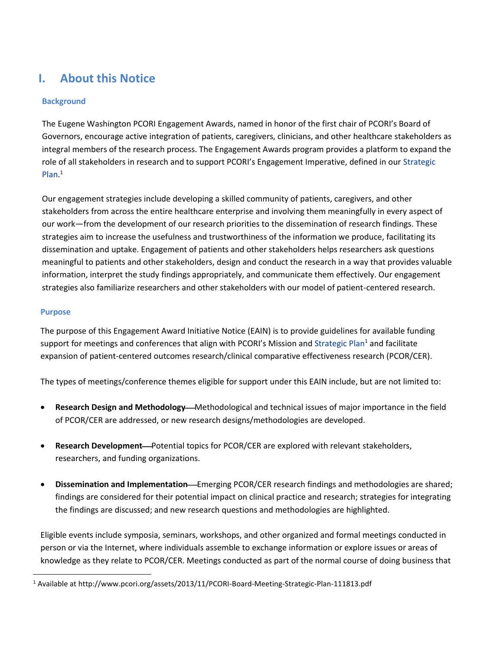### <span id="page-4-0"></span>**I. About this Notice**

### <span id="page-4-1"></span>**Background**

The Eugene Washington PCORI Engagement Awards, named in honor of the first chair of PCORI's Board of Governors, encourage active integration of patients, caregivers, clinicians, and other healthcare stakeholders as integral members of the research process. The Engagement Awards program provides a platform to expand the role of all stakeholders in research and to support PCORI's Engagement Imperative, defined in our [Strategic](http://www.pcori.org/assets/2013/11/PCORI-Board-Meeting-Strategic-Plan-111813.pdf)  [Plan.](http://www.pcori.org/assets/2013/11/PCORI-Board-Meeting-Strategic-Plan-111813.pdf) 1

Our engagement strategies include developing a skilled community of patients, caregivers, and other stakeholders from across the entire healthcare enterprise and involving them meaningfully in every aspect of our work—from the development of our research priorities to the dissemination of research findings. These strategies aim to increase the usefulness and trustworthiness of the information we produce, facilitating its dissemination and uptake. Engagement of patients and other stakeholders helps researchers ask questions meaningful to patients and other stakeholders, design and conduct the research in a way that provides valuable information, interpret the study findings appropriately, and communicate them effectively. Our engagement strategies also familiarize researchers and other stakeholders with our model of patient-centered research.

### <span id="page-4-2"></span>**Purpose**

 $\overline{a}$ 

The purpose of this Engagement Award Initiative Notice (EAIN) is to provide guidelines for available funding support for meetings and conferences that align with PCORI's Mission and [Strategic Plan](http://www.pcori.org/assets/2013/11/PCORI-Board-Meeting-Strategic-Plan-111813.pdf)<sup>1</sup> and facilitate expansion of patient-centered outcomes research/clinical comparative effectiveness research (PCOR/CER).

The types of meetings/conference themes eligible for support under this EAIN include, but are not limited to:

- **Research Design and Methodology**—Methodological and technical issues of major importance in the field of PCOR/CER are addressed, or new research designs/methodologies are developed.
- **Research Development—Potential topics for PCOR/CER are explored with relevant stakeholders,** researchers, and funding organizations.
- **Dissemination and Implementation—Emerging PCOR/CER research findings and methodologies are shared;** findings are considered for their potential impact on clinical practice and research; strategies for integrating the findings are discussed; and new research questions and methodologies are highlighted.

Eligible events include symposia, seminars, workshops, and other organized and formal meetings conducted in person or via the Internet, where individuals assemble to exchange information or explore issues or areas of knowledge as they relate to PCOR/CER. Meetings conducted as part of the normal course of doing business that

<sup>1</sup> Available at http://www.pcori.org/assets/2013/11/PCORI-Board-Meeting-Strategic-Plan-111813.pdf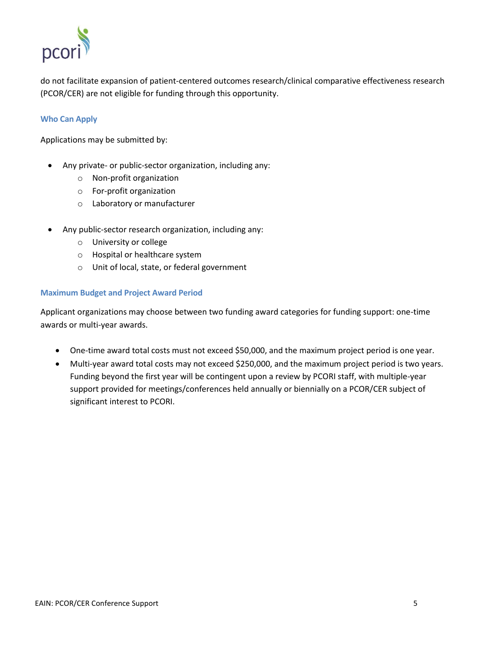

do not facilitate expansion of patient-centered outcomes research/clinical comparative effectiveness research (PCOR/CER) are not eligible for funding through this opportunity.

### <span id="page-5-0"></span>**Who Can Apply**

Applications may be submitted by:

- Any private- or public-sector organization, including any:
	- o Non-profit organization
	- o For-profit organization
	- o Laboratory or manufacturer
- Any public-sector research organization, including any:
	- o University or college
	- o Hospital or healthcare system
	- o Unit of local, state, or federal government

#### <span id="page-5-1"></span>**Maximum Budget and Project Award Period**

Applicant organizations may choose between two funding award categories for funding support: one-time awards or multi-year awards.

- One-time award total costs must not exceed \$50,000, and the maximum project period is one year.
- Multi-year award total costs may not exceed \$250,000, and the maximum project period is two years. Funding beyond the first year will be contingent upon a review by PCORI staff, with multiple-year support provided for meetings/conferences held annually or biennially on a PCOR/CER subject of significant interest to PCORI.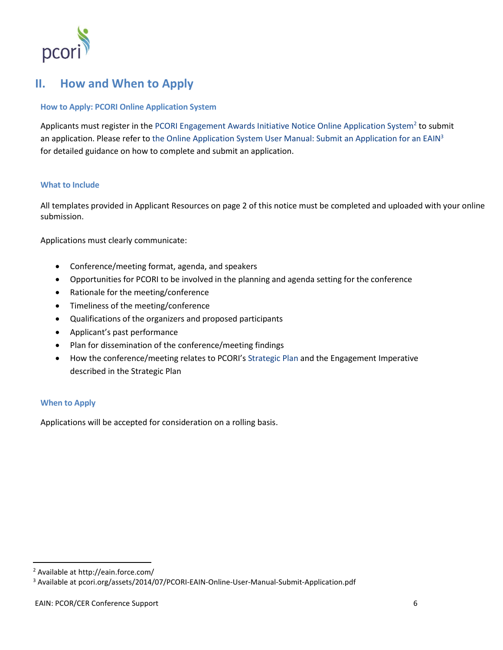

### <span id="page-6-0"></span>**II. How and When to Apply**

### <span id="page-6-1"></span>**How to Apply: PCORI Online Application System**

<span id="page-6-2"></span>Applicants must register in th[e PCORI Engagement Awards Initiative Notice Online Application System](http://eain.force.com/)<sup>2</sup> to submit an application. Please refer to [the Online Application System User Manual: Submit an Application for an EAIN](http://www.pcori.org/assets/2014/07/PCORI-EAIN-Online-User-Manual-Submit-Proposal.pdf)<sup>3</sup> for detailed guidance on how to complete and submit an application.

### **What to Include**

All templates provided in Applicant Resources on page 2 of this notice must be completed and uploaded with your online submission.

Applications must clearly communicate:

- Conference/meeting format, agenda, and speakers
- Opportunities for PCORI to be involved in the planning and agenda setting for the conference
- Rationale for the meeting/conference
- Timeliness of the meeting/conference
- Qualifications of the organizers and proposed participants
- Applicant's past performance
- Plan for dissemination of the conference/meeting findings
- How the conference/meeting relates to PCORI's [Strategic Plan](http://www.pcori.org/assets/2013/11/PCORI-Board-Meeting-Strategic-Plan-111813.pdf) and the Engagement Imperative described in the Strategic Plan

### <span id="page-6-3"></span>**When to Apply**

Applications will be accepted for consideration on a rolling basis.

 $\overline{a}$ 

<sup>2</sup> Available at http://eain.force.com/

<sup>&</sup>lt;sup>3</sup> Available at pcori.org/assets/2014/07/PCORI-EAIN-Online-User-Manual-Submit-Application.pdf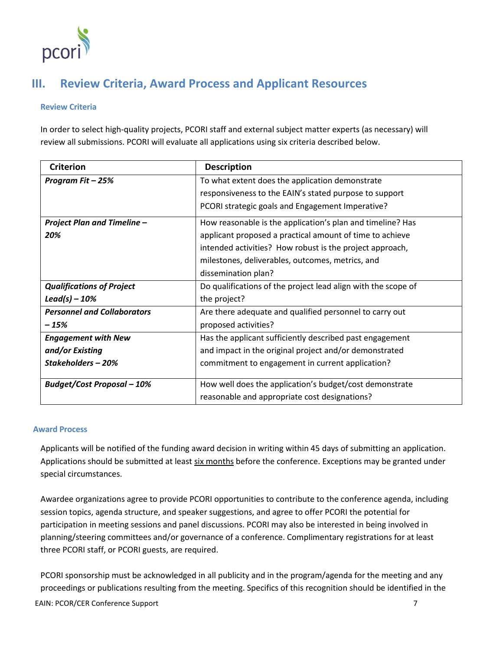

### <span id="page-7-0"></span>**III. Review Criteria, Award Process and Applicant Resources**

### <span id="page-7-1"></span>**Review Criteria**

In order to select high-quality projects, PCORI staff and external subject matter experts (as necessary) will review all submissions. PCORI will evaluate all applications using six criteria described below.

| <b>Criterion</b>                   | <b>Description</b>                                            |  |
|------------------------------------|---------------------------------------------------------------|--|
| Program Fit - 25%                  | To what extent does the application demonstrate               |  |
|                                    | responsiveness to the EAIN's stated purpose to support        |  |
|                                    | PCORI strategic goals and Engagement Imperative?              |  |
| <b>Project Plan and Timeline -</b> | How reasonable is the application's plan and timeline? Has    |  |
| 20%                                | applicant proposed a practical amount of time to achieve      |  |
|                                    | intended activities? How robust is the project approach,      |  |
|                                    | milestones, deliverables, outcomes, metrics, and              |  |
|                                    | dissemination plan?                                           |  |
| <b>Qualifications of Project</b>   | Do qualifications of the project lead align with the scope of |  |
| $\textsf{lead}(s) - 10\%$          | the project?                                                  |  |
| <b>Personnel and Collaborators</b> | Are there adequate and qualified personnel to carry out       |  |
| - 15%                              | proposed activities?                                          |  |
| <b>Engagement with New</b>         | Has the applicant sufficiently described past engagement      |  |
| and/or Existing                    | and impact in the original project and/or demonstrated        |  |
| Stakeholders - 20%                 | commitment to engagement in current application?              |  |
| <b>Budget/Cost Proposal - 10%</b>  | How well does the application's budget/cost demonstrate       |  |
|                                    | reasonable and appropriate cost designations?                 |  |

#### <span id="page-7-2"></span>**Award Process**

Applicants will be notified of the funding award decision in writing within 45 days of submitting an application. Applications should be submitted at least six months before the conference. Exceptions may be granted under special circumstances.

Awardee organizations agree to provide PCORI opportunities to contribute to the conference agenda, including session topics, agenda structure, and speaker suggestions, and agree to offer PCORI the potential for participation in meeting sessions and panel discussions. PCORI may also be interested in being involved in planning/steering committees and/or governance of a conference. Complimentary registrations for at least three PCORI staff, or PCORI guests, are required.

EAIN: PCOR/CER Conference Support 7 PCORI sponsorship must be acknowledged in all publicity and in the program/agenda for the meeting and any proceedings or publications resulting from the meeting. Specifics of this recognition should be identified in the